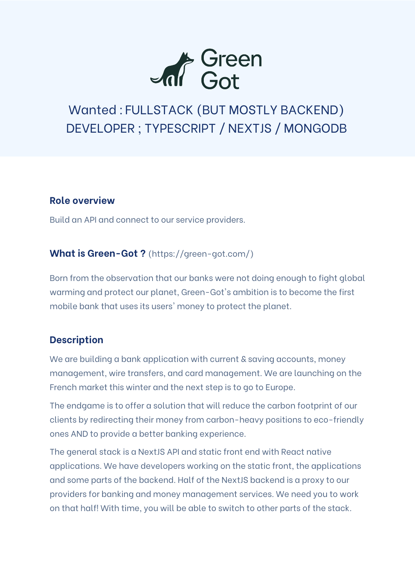

# Wanted : FULLSTACK (BUT MOSTLY BACKEND) DEVELOPER ; TYPESCRIPT / NEXTJS / MONGODB

### **Role overview**

Build an API and connect to our service providers.

### **What is Green-Got ?** (https://green-got.com/)

Born from the observation that our banks were not doing enough to fight global warming and protect our planet, Green-Got's ambition is to become the first mobile bank that uses its users' money to protect the planet.

## **Description**

We are building a bank application with current & saving accounts, money management, wire transfers, and card management. We are launching on the French market this winter and the next step is to go to Europe.

The endgame is to offer a solution that will reduce the carbon footprint of our clients by redirecting their money from carbon-heavy positions to eco-friendly ones AND to provide a better banking experience.

The general stack is a NextJS API and static front end with React native applications. We have developers working on the static front, the applications and some parts of the backend. Half of the NextJS backend is a proxy to our providers for banking and money management services. We need you to work on that half! With time, you will be able to switch to other parts of the stack.